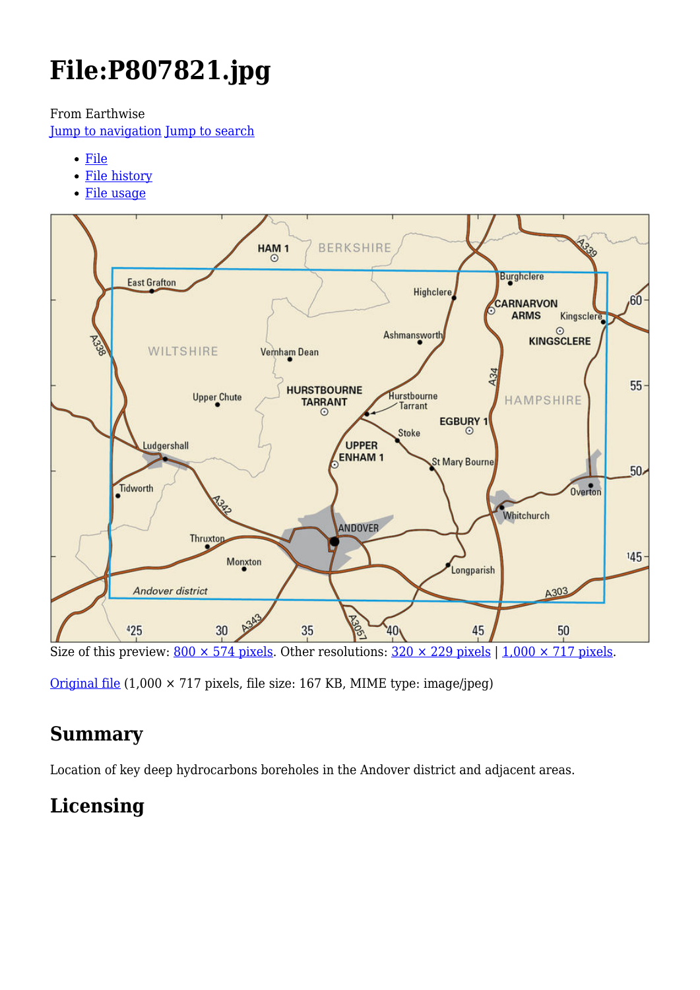# **File:P807821.jpg**

From Earthwise

[Jump to navigation](#page--1-0) [Jump to search](#page--1-0)

- [File](#page--1-0)
- [File history](#page--1-0)
- [File usage](#page--1-0)



Size of this preview:  $800 \times 574$  pixels. Other resolutions:  $320 \times 229$  pixels | 1,000  $\times$  717 pixels.

[Original file](http://earthwise.bgs.ac.uk/images/a/a4/P807821.jpg) (1,000 × 717 pixels, file size: 167 KB, MIME type: image/jpeg)

# **Summary**

Location of key deep hydrocarbons boreholes in the Andover district and adjacent areas.

# **Licensing**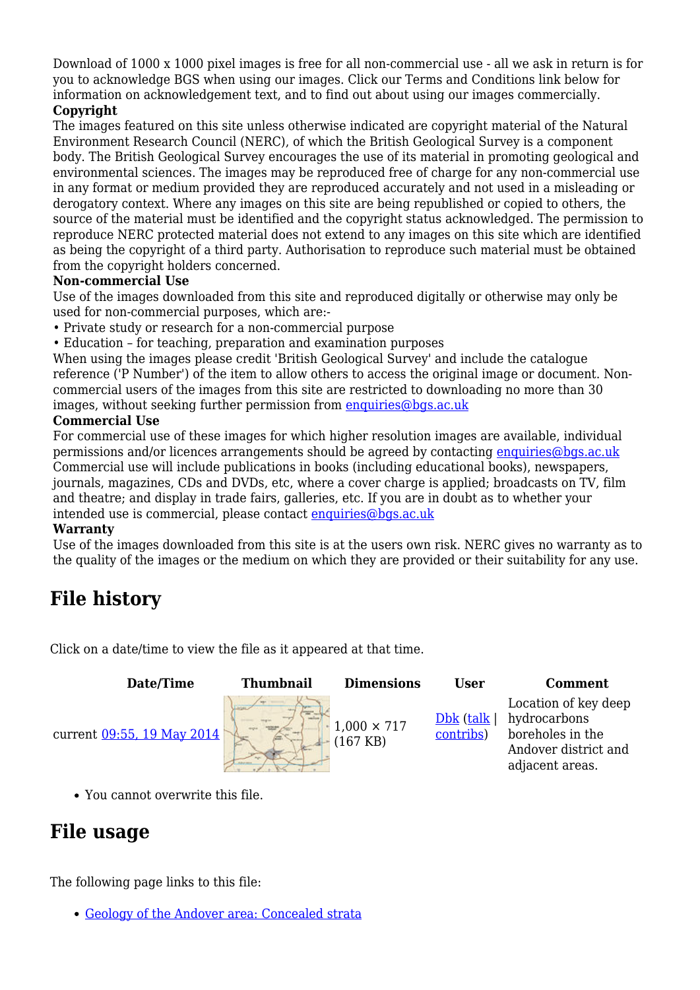Download of 1000 x 1000 pixel images is free for all non-commercial use - all we ask in return is for you to acknowledge BGS when using our images. Click our Terms and Conditions link below for information on acknowledgement text, and to find out about using our images commercially.

#### **Copyright**

The images featured on this site unless otherwise indicated are copyright material of the Natural Environment Research Council (NERC), of which the British Geological Survey is a component body. The British Geological Survey encourages the use of its material in promoting geological and environmental sciences. The images may be reproduced free of charge for any non-commercial use in any format or medium provided they are reproduced accurately and not used in a misleading or derogatory context. Where any images on this site are being republished or copied to others, the source of the material must be identified and the copyright status acknowledged. The permission to reproduce NERC protected material does not extend to any images on this site which are identified as being the copyright of a third party. Authorisation to reproduce such material must be obtained from the copyright holders concerned.

#### **Non-commercial Use**

Use of the images downloaded from this site and reproduced digitally or otherwise may only be used for non-commercial purposes, which are:-

- Private study or research for a non-commercial purpose
- Education for teaching, preparation and examination purposes

When using the images please credit 'British Geological Survey' and include the catalogue reference ('P Number') of the item to allow others to access the original image or document. Noncommercial users of the images from this site are restricted to downloading no more than 30 images, without seeking further permission from [enquiries@bgs.ac.uk](mailto:enquiries@bgs.ac.uk)

#### **Commercial Use**

For commercial use of these images for which higher resolution images are available, individual permissions and/or licences arrangements should be agreed by contacting [enquiries@bgs.ac.uk](mailto:enquiries@bgs.ac.uk) Commercial use will include publications in books (including educational books), newspapers, journals, magazines, CDs and DVDs, etc, where a cover charge is applied; broadcasts on TV, film and theatre; and display in trade fairs, galleries, etc. If you are in doubt as to whether your intended use is commercial, please contact [enquiries@bgs.ac.uk](mailto:enquiries@bgs.ac.uk)

#### **Warranty**

Use of the images downloaded from this site is at the users own risk. NERC gives no warranty as to the quality of the images or the medium on which they are provided or their suitability for any use.

## **File history**

Click on a date/time to view the file as it appeared at that time.

| Date/Time                  | <b>Thumbnail</b> | <b>Dimensions</b>             | User                       | Comment                                                                                             |
|----------------------------|------------------|-------------------------------|----------------------------|-----------------------------------------------------------------------------------------------------|
| current 09:55, 19 May 2014 |                  | $1,000 \times 717$<br>167 KB) | $Dbk$ (talk  <br>contribs) | Location of key deep<br>hydrocarbons<br>boreholes in the<br>Andover district and<br>adjacent areas. |

You cannot overwrite this file.

## **File usage**

The following page links to this file:

[Geology of the Andover area: Concealed strata](http://earthwise.bgs.ac.uk/index.php/Geology_of_the_Andover_area:_Concealed_strata)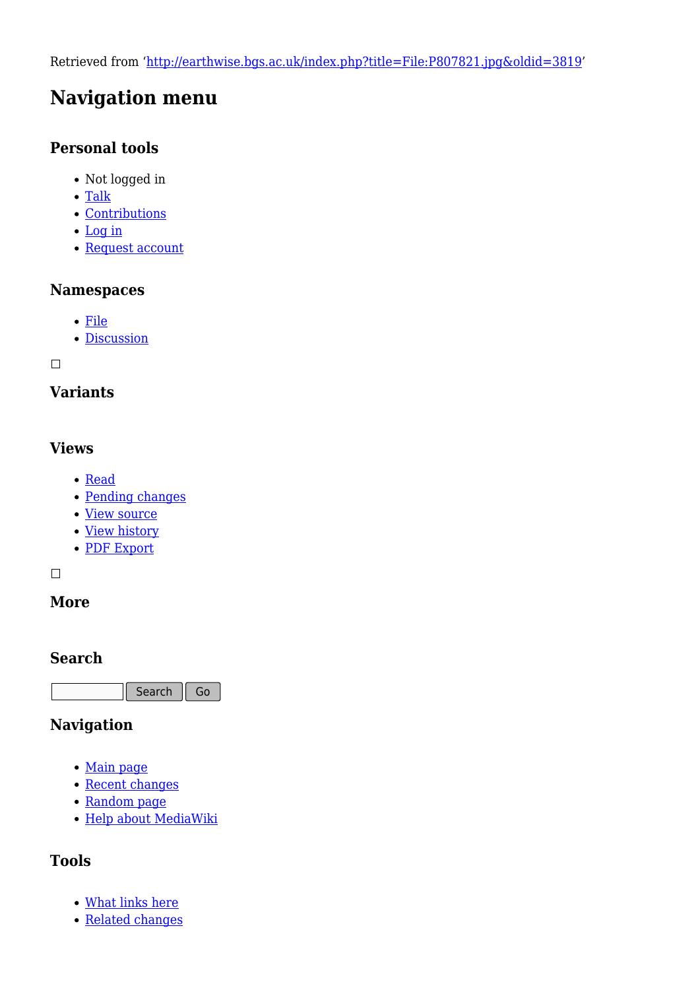Retrieved from ['http://earthwise.bgs.ac.uk/index.php?title=File:P807821.jpg&oldid=3819](http://earthwise.bgs.ac.uk/index.php?title=File:P807821.jpg&oldid=3819)'

# **Navigation menu**

### **Personal tools**

- Not logged in
- [Talk](http://earthwise.bgs.ac.uk/index.php/Special:MyTalk)
- [Contributions](http://earthwise.bgs.ac.uk/index.php/Special:MyContributions)
- [Log in](http://earthwise.bgs.ac.uk/index.php?title=Special:UserLogin&returnto=File%3AP807821.jpg&returntoquery=action%3Dmpdf)
- [Request account](http://earthwise.bgs.ac.uk/index.php/Special:RequestAccount)

#### **Namespaces**

- [File](http://earthwise.bgs.ac.uk/index.php/File:P807821.jpg)
- [Discussion](http://earthwise.bgs.ac.uk/index.php?title=File_talk:P807821.jpg&action=edit&redlink=1)

 $\Box$ 

### **Variants**

### **Views**

- [Read](http://earthwise.bgs.ac.uk/index.php?title=File:P807821.jpg&stable=1)
- [Pending changes](http://earthwise.bgs.ac.uk/index.php?title=File:P807821.jpg&stable=0&redirect=no)
- [View source](http://earthwise.bgs.ac.uk/index.php?title=File:P807821.jpg&action=edit)
- [View history](http://earthwise.bgs.ac.uk/index.php?title=File:P807821.jpg&action=history)
- [PDF Export](http://earthwise.bgs.ac.uk/index.php?title=File:P807821.jpg&action=mpdf)

 $\Box$ 

### **More**

### **Search**

Search Go

### **Navigation**

- [Main page](http://earthwise.bgs.ac.uk/index.php/Main_Page)
- [Recent changes](http://earthwise.bgs.ac.uk/index.php/Special:RecentChanges)
- [Random page](http://earthwise.bgs.ac.uk/index.php/Special:Random)
- [Help about MediaWiki](https://www.mediawiki.org/wiki/Special:MyLanguage/Help:Contents)

### **Tools**

- [What links here](http://earthwise.bgs.ac.uk/index.php/Special:WhatLinksHere/File:P807821.jpg)
- [Related changes](http://earthwise.bgs.ac.uk/index.php/Special:RecentChangesLinked/File:P807821.jpg)